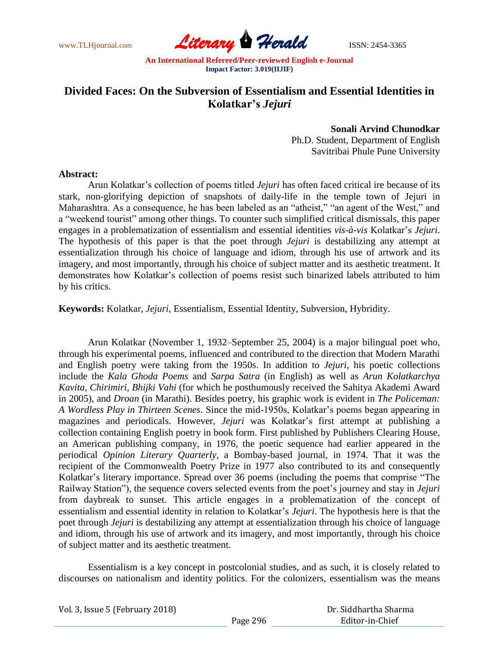

# **Divided Faces: On the Subversion of Essentialism and Essential Identities in Kolatkar's** *Jejuri*

**Sonali Arvind Chunodkar** Ph.D. Student, Department of English Savitribai Phule Pune University

### **Abstract:**

Arun Kolatkar's collection of poems titled *Jejuri* has often faced critical ire because of its stark, non-glorifying depiction of snapshots of daily-life in the temple town of Jejuri in Maharashtra. As a consequence, he has been labeled as an "atheist," "an agent of the West," and a "weekend tourist" among other things. To counter such simplified critical dismissals, this paper engages in a problematization of essentialism and essential identities *vis-à-vis* Kolatkar's *Jejuri*. The hypothesis of this paper is that the poet through *Jejuri* is destabilizing any attempt at essentialization through his choice of language and idiom, through his use of artwork and its imagery, and most importantly, through his choice of subject matter and its aesthetic treatment. It demonstrates how Kolatkar's collection of poems resist such binarized labels attributed to him by his critics.

**Keywords:** Kolatkar, *Jejuri*, Essentialism, Essential Identity, Subversion, Hybridity.

Arun Kolatkar (November 1, 1932–September 25, 2004) is a major bilingual poet who, through his experimental poems, influenced and contributed to the direction that Modern Marathi and English poetry were taking from the 1950s. In addition to *Jejuri*, his poetic collections include the *Kala Ghoda Poems* and *Sarpa Satra* (in English) as well as *Arun Kolatkarchya Kavita*, *Chirimiri*, *Bhijki Vahi* (for which he posthumously received the Sahitya Akademi Award in 2005), and *Droan* (in Marathi). Besides poetry, his graphic work is evident in *The Policeman: A Wordless Play in Thirteen Scenes*. Since the mid-1950s, Kolatkar's poems began appearing in magazines and periodicals. However, *Jejuri* was Kolatkar's first attempt at publishing a collection containing English poetry in book form. First published by Publishers Clearing House, an American publishing company, in 1976, the poetic sequence had earlier appeared in the periodical *Opinion Literary Quarterly*, a Bombay-based journal, in 1974. That it was the recipient of the Commonwealth Poetry Prize in 1977 also contributed to its and consequently Kolatkar's literary importance. Spread over 36 poems (including the poems that comprise "The Railway Station"), the sequence covers selected events from the poet's journey and stay in *Jejuri* from daybreak to sunset. This article engages in a problematization of the concept of essentialism and essential identity in relation to Kolatkar's *Jejuri*. The hypothesis here is that the poet through *Jejuri* is destabilizing any attempt at essentialization through his choice of language and idiom, through his use of artwork and its imagery, and most importantly, through his choice of subject matter and its aesthetic treatment.

Essentialism is a key concept in postcolonial studies, and as such, it is closely related to discourses on nationalism and identity politics. For the colonizers, essentialism was the means

| Vol. 3, Issue 5 (February 2018) |          | Dr. Siddhartha Sharma |
|---------------------------------|----------|-----------------------|
|                                 | Page 296 | Editor-in-Chief       |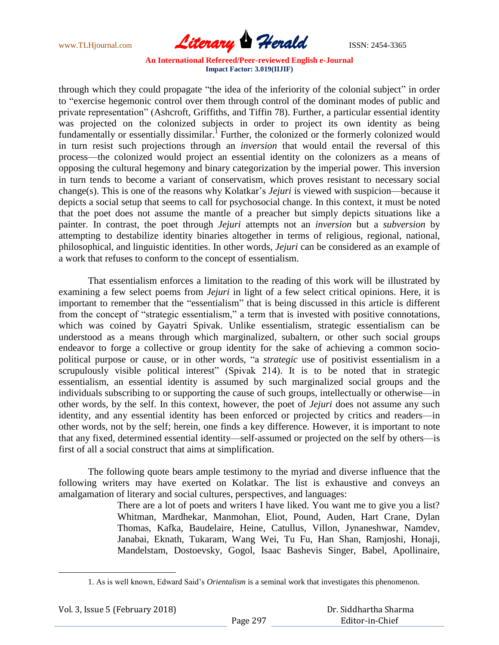

through which they could propagate "the idea of the inferiority of the colonial subject" in order to "exercise hegemonic control over them through control of the dominant modes of public and private representation" (Ashcroft, Griffiths, and Tiffin 78). Further, a particular essential identity was projected on the colonized subjects in order to project its own identity as being fundamentally or essentially dissimilar.<sup>1</sup> Further, the colonized or the formerly colonized would in turn resist such projections through an *inversion* that would entail the reversal of this process—the colonized would project an essential identity on the colonizers as a means of opposing the cultural hegemony and binary categorization by the imperial power. This inversion in turn tends to become a variant of conservatism, which proves resistant to necessary social change(s). This is one of the reasons why Kolatkar's *Jejuri* is viewed with suspicion—because it depicts a social setup that seems to call for psychosocial change. In this context, it must be noted that the poet does not assume the mantle of a preacher but simply depicts situations like a painter. In contrast, the poet through *Jejuri* attempts not an *inversion* but a *subversion* by attempting to destabilize identity binaries altogether in terms of religious, regional, national, philosophical, and linguistic identities. In other words, *Jejuri* can be considered as an example of a work that refuses to conform to the concept of essentialism.

That essentialism enforces a limitation to the reading of this work will be illustrated by examining a few select poems from *Jejuri* in light of a few select critical opinions. Here, it is important to remember that the "essentialism" that is being discussed in this article is different from the concept of "strategic essentialism," a term that is invested with positive connotations, which was coined by Gayatri Spivak. Unlike essentialism, strategic essentialism can be understood as a means through which marginalized, subaltern, or other such social groups endeavor to forge a collective or group identity for the sake of achieving a common sociopolitical purpose or cause, or in other words, "a *strategic* use of positivist essentialism in a scrupulously visible political interest" (Spivak 214). It is to be noted that in strategic essentialism, an essential identity is assumed by such marginalized social groups and the individuals subscribing to or supporting the cause of such groups, intellectually or otherwise—in other words, by the self. In this context, however, the poet of *Jejuri* does not assume any such identity, and any essential identity has been enforced or projected by critics and readers—in other words, not by the self; herein, one finds a key difference. However, it is important to note that any fixed, determined essential identity—self-assumed or projected on the self by others—is first of all a social construct that aims at simplification.

The following quote bears ample testimony to the myriad and diverse influence that the following writers may have exerted on Kolatkar. The list is exhaustive and conveys an amalgamation of literary and social cultures, perspectives, and languages:

> There are a lot of poets and writers I have liked. You want me to give you a list? Whitman, Mardhekar, Manmohan, Eliot, Pound, Auden, Hart Crane, Dylan Thomas, Kafka, Baudelaire, Heine, Catullus, Villon, Jynaneshwar, Namdev, Janabai, Eknath, Tukaram, Wang Wei, Tu Fu, Han Shan, Ramjoshi, Honaji, Mandelstam, Dostoevsky, Gogol, Isaac Bashevis Singer, Babel, Apollinaire,

<sup>1.</sup> As is well known, Edward Said's *Orientalism* is a seminal work that investigates this phenomenon.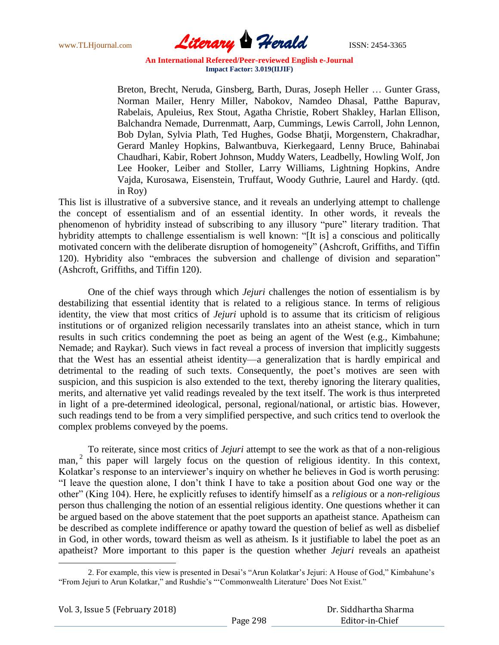

Breton, Brecht, Neruda, Ginsberg, Barth, Duras, Joseph Heller … Gunter Grass, Norman Mailer, Henry Miller, Nabokov, Namdeo Dhasal, Patthe Bapurav, Rabelais, Apuleius, Rex Stout, Agatha Christie, Robert Shakley, Harlan Ellison, Balchandra Nemade, Durrenmatt, Aarp, Cummings, Lewis Carroll, John Lennon, Bob Dylan, Sylvia Plath, Ted Hughes, Godse Bhatji, Morgenstern, Chakradhar, Gerard Manley Hopkins, Balwantbuva, Kierkegaard, Lenny Bruce, Bahinabai Chaudhari, Kabir, Robert Johnson, Muddy Waters, Leadbelly, Howling Wolf, Jon Lee Hooker, Leiber and Stoller, Larry Williams, Lightning Hopkins, Andre Vajda, Kurosawa, Eisenstein, Truffaut, Woody Guthrie, Laurel and Hardy. (qtd. in Roy)

This list is illustrative of a subversive stance, and it reveals an underlying attempt to challenge the concept of essentialism and of an essential identity. In other words, it reveals the phenomenon of hybridity instead of subscribing to any illusory "pure" literary tradition. That hybridity attempts to challenge essentialism is well known: "[It is] a conscious and politically motivated concern with the deliberate disruption of homogeneity" (Ashcroft, Griffiths, and Tiffin 120). Hybridity also "embraces the subversion and challenge of division and separation" (Ashcroft, Griffiths, and Tiffin 120).

One of the chief ways through which *Jejuri* challenges the notion of essentialism is by destabilizing that essential identity that is related to a religious stance. In terms of religious identity, the view that most critics of *Jejuri* uphold is to assume that its criticism of religious institutions or of organized religion necessarily translates into an atheist stance, which in turn results in such critics condemning the poet as being an agent of the West (e.g., Kimbahune; Nemade; and Raykar). Such views in fact reveal a process of inversion that implicitly suggests that the West has an essential atheist identity—a generalization that is hardly empirical and detrimental to the reading of such texts. Consequently, the poet's motives are seen with suspicion, and this suspicion is also extended to the text, thereby ignoring the literary qualities, merits, and alternative yet valid readings revealed by the text itself. The work is thus interpreted in light of a pre-determined ideological, personal, regional/national, or artistic bias. However, such readings tend to be from a very simplified perspective, and such critics tend to overlook the complex problems conveyed by the poems.

To reiterate, since most critics of *Jejuri* attempt to see the work as that of a non-religious man,<sup>2</sup> this paper will largely focus on the question of religious identity. In this context, Kolatkar's response to an interviewer's inquiry on whether he believes in God is worth perusing: "I leave the question alone, I don't think I have to take a position about God one way or the other‖ (King 104). Here, he explicitly refuses to identify himself as a *religious* or a *non-religious* person thus challenging the notion of an essential religious identity. One questions whether it can be argued based on the above statement that the poet supports an apatheist stance. Apatheism can be described as complete indifference or apathy toward the question of belief as well as disbelief in God, in other words, toward theism as well as atheism. Is it justifiable to label the poet as an apatheist? More important to this paper is the question whether *Jejuri* reveals an apatheist

Vol. 3, Issue 5 (February 2018)

<sup>2.</sup> For example, this view is presented in Desai's "Arun Kolatkar's Jejuri: A House of God," Kimbahune's "From Jejuri to Arun Kolatkar," and Rushdie's "'Commonwealth Literature' Does Not Exist."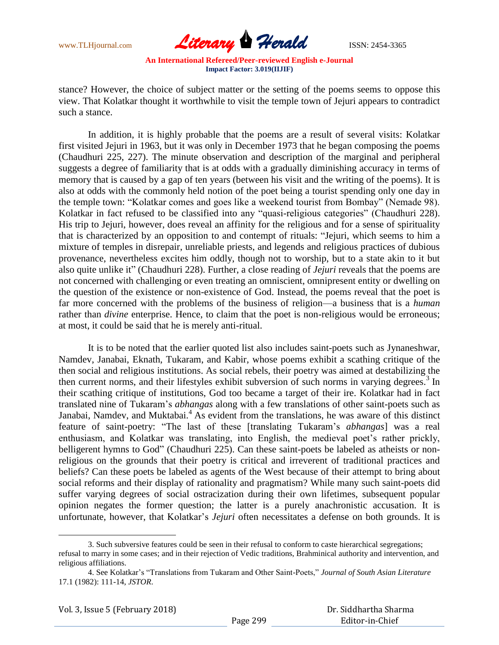

stance? However, the choice of subject matter or the setting of the poems seems to oppose this view. That Kolatkar thought it worthwhile to visit the temple town of Jejuri appears to contradict such a stance.

In addition, it is highly probable that the poems are a result of several visits: Kolatkar first visited Jejuri in 1963, but it was only in December 1973 that he began composing the poems (Chaudhuri 225, 227). The minute observation and description of the marginal and peripheral suggests a degree of familiarity that is at odds with a gradually diminishing accuracy in terms of memory that is caused by a gap of ten years (between his visit and the writing of the poems). It is also at odds with the commonly held notion of the poet being a tourist spending only one day in the temple town: "Kolatkar comes and goes like a weekend tourist from Bombay" (Nemade 98). Kolatkar in fact refused to be classified into any "quasi-religious categories" (Chaudhuri 228). His trip to Jejuri, however, does reveal an affinity for the religious and for a sense of spirituality that is characterized by an opposition to and contempt of rituals: "Jejuri, which seems to him a mixture of temples in disrepair, unreliable priests, and legends and religious practices of dubious provenance, nevertheless excites him oddly, though not to worship, but to a state akin to it but also quite unlike it" (Chaudhuri 228). Further, a close reading of *Jejuri* reveals that the poems are not concerned with challenging or even treating an omniscient, omnipresent entity or dwelling on the question of the existence or non-existence of God. Instead, the poems reveal that the poet is far more concerned with the problems of the business of religion—a business that is a *human* rather than *divine* enterprise. Hence, to claim that the poet is non-religious would be erroneous; at most, it could be said that he is merely anti-ritual.

It is to be noted that the earlier quoted list also includes saint-poets such as Jynaneshwar, Namdev, Janabai, Eknath, Tukaram, and Kabir, whose poems exhibit a scathing critique of the then social and religious institutions. As social rebels, their poetry was aimed at destabilizing the then current norms, and their lifestyles exhibit subversion of such norms in varying degrees.<sup>3</sup> In their scathing critique of institutions, God too became a target of their ire. Kolatkar had in fact translated nine of Tukaram's *abhangas* along with a few translations of other saint-poets such as Janabai, Namdev, and Muktabai.<sup>4</sup> As evident from the translations, he was aware of this distinct feature of saint-poetry: "The last of these [translating Tukaram's *abhangas*] was a real enthusiasm, and Kolatkar was translating, into English, the medieval poet's rather prickly, belligerent hymns to God" (Chaudhuri 225). Can these saint-poets be labeled as atheists or nonreligious on the grounds that their poetry is critical and irreverent of traditional practices and beliefs? Can these poets be labeled as agents of the West because of their attempt to bring about social reforms and their display of rationality and pragmatism? While many such saint-poets did suffer varying degrees of social ostracization during their own lifetimes, subsequent popular opinion negates the former question; the latter is a purely anachronistic accusation. It is unfortunate, however, that Kolatkar's *Jejuri* often necessitates a defense on both grounds. It is

 $\overline{a}$ 

<sup>3.</sup> Such subversive features could be seen in their refusal to conform to caste hierarchical segregations; refusal to marry in some cases; and in their rejection of Vedic traditions, Brahminical authority and intervention, and religious affiliations.

<sup>4.</sup> See Kolatkar's "Translations from Tukaram and Other Saint-Poets," Journal of South Asian Literature 17.1 (1982): 111-14, *JSTOR*.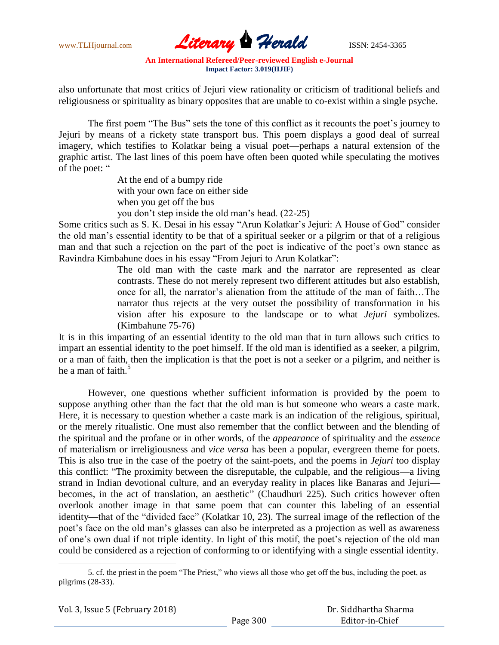

also unfortunate that most critics of Jejuri view rationality or criticism of traditional beliefs and religiousness or spirituality as binary opposites that are unable to co-exist within a single psyche.

The first poem "The Bus" sets the tone of this conflict as it recounts the poet's journey to Jejuri by means of a rickety state transport bus. This poem displays a good deal of surreal imagery, which testifies to Kolatkar being a visual poet—perhaps a natural extension of the graphic artist. The last lines of this poem have often been quoted while speculating the motives of the poet: "

> At the end of a bumpy ride with your own face on either side when you get off the bus you don't step inside the old man's head. (22-25)

Some critics such as S. K. Desai in his essay "Arun Kolatkar's Jejuri: A House of God" consider the old man's essential identity to be that of a spiritual seeker or a pilgrim or that of a religious man and that such a rejection on the part of the poet is indicative of the poet's own stance as Ravindra Kimbahune does in his essay "From Jejuri to Arun Kolatkar":

The old man with the caste mark and the narrator are represented as clear contrasts. These do not merely represent two different attitudes but also establish, once for all, the narrator's alienation from the attitude of the man of faith…The narrator thus rejects at the very outset the possibility of transformation in his vision after his exposure to the landscape or to what *Jejuri* symbolizes. (Kimbahune 75-76)

It is in this imparting of an essential identity to the old man that in turn allows such critics to impart an essential identity to the poet himself. If the old man is identified as a seeker, a pilgrim, or a man of faith, then the implication is that the poet is not a seeker or a pilgrim, and neither is he a man of faith. $5$ 

However, one questions whether sufficient information is provided by the poem to suppose anything other than the fact that the old man is but someone who wears a caste mark. Here, it is necessary to question whether a caste mark is an indication of the religious, spiritual, or the merely ritualistic. One must also remember that the conflict between and the blending of the spiritual and the profane or in other words, of the *appearance* of spirituality and the *essence* of materialism or irreligiousness and *vice versa* has been a popular, evergreen theme for poets. This is also true in the case of the poetry of the saint-poets, and the poems in *Jejuri* too display this conflict: "The proximity between the disreputable, the culpable, and the religious—a living strand in Indian devotional culture, and an everyday reality in places like Banaras and Jejuri becomes, in the act of translation, an aesthetic" (Chaudhuri 225). Such critics however often overlook another image in that same poem that can counter this labeling of an essential identity—that of the "divided face" (Kolatkar 10, 23). The surreal image of the reflection of the poet's face on the old man's glasses can also be interpreted as a projection as well as awareness of one's own dual if not triple identity. In light of this motif, the poet's rejection of the old man could be considered as a rejection of conforming to or identifying with a single essential identity.

 $\overline{\phantom{a}}$ 5. cf. the priest in the poem "The Priest," who views all those who get off the bus, including the poet, as pilgrims (28-33).

 Dr. Siddhartha Sharma Editor-in-Chief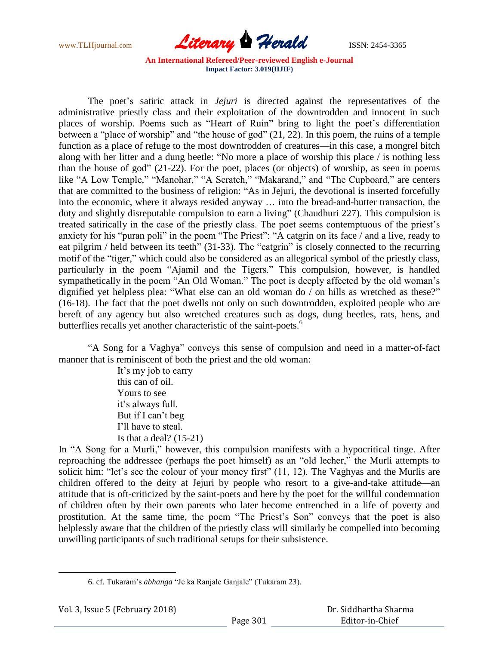

The poet's satiric attack in *Jejuri* is directed against the representatives of the administrative priestly class and their exploitation of the downtrodden and innocent in such places of worship. Poems such as "Heart of Ruin" bring to light the poet's differentiation between a "place of worship" and "the house of god"  $(21, 22)$ . In this poem, the ruins of a temple function as a place of refuge to the most downtrodden of creatures—in this case, a mongrel bitch along with her litter and a dung beetle: "No more a place of worship this place / is nothing less than the house of god"  $(21-22)$ . For the poet, places (or objects) of worship, as seen in poems like "A Low Temple," "Manohar," "A Scratch," "Makarand," and "The Cupboard," are centers that are committed to the business of religion: "As in Jejuri, the devotional is inserted forcefully into the economic, where it always resided anyway … into the bread-and-butter transaction, the duty and slightly disreputable compulsion to earn a living" (Chaudhuri 227). This compulsion is treated satirically in the case of the priestly class. The poet seems contemptuous of the priest's anxiety for his "puran poli" in the poem "The Priest": "A catgrin on its face / and a live, ready to eat pilgrim / held between its teeth" (31-33). The "catgrin" is closely connected to the recurring motif of the "tiger," which could also be considered as an allegorical symbol of the priestly class, particularly in the poem "Ajamil and the Tigers." This compulsion, however, is handled sympathetically in the poem "An Old Woman." The poet is deeply affected by the old woman's dignified yet helpless plea: "What else can an old woman do  $\overline{\phantom{a}}$  on hills as wretched as these?" (16-18). The fact that the poet dwells not only on such downtrodden, exploited people who are bereft of any agency but also wretched creatures such as dogs, dung beetles, rats, hens, and butterflies recalls yet another characteristic of the saint-poets.<sup>6</sup>

"A Song for a Vaghya" conveys this sense of compulsion and need in a matter-of-fact manner that is reminiscent of both the priest and the old woman:

> It's my job to carry this can of oil. Yours to see it's always full. But if I can't beg I'll have to steal. Is that a deal?  $(15-21)$

In "A Song for a Murli," however, this compulsion manifests with a hypocritical tinge. After reproaching the addressee (perhaps the poet himself) as an "old lecher," the Murli attempts to solicit him: "let's see the colour of your money first"  $(11, 12)$ . The Vaghyas and the Murlis are children offered to the deity at Jejuri by people who resort to a give-and-take attitude—an attitude that is oft-criticized by the saint-poets and here by the poet for the willful condemnation of children often by their own parents who later become entrenched in a life of poverty and prostitution. At the same time, the poem "The Priest's Son" conveys that the poet is also helplessly aware that the children of the priestly class will similarly be compelled into becoming unwilling participants of such traditional setups for their subsistence.

<sup>6.</sup> cf. Tukaram's *abhanga* "Je ka Ranjale Ganjale" (Tukaram 23).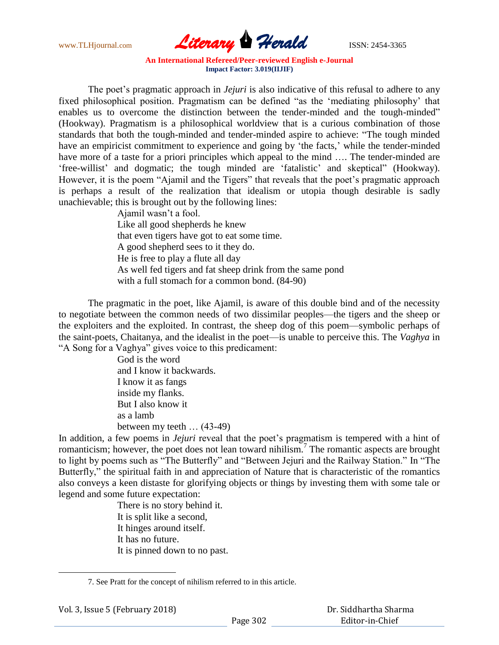

The poet's pragmatic approach in *Jejuri* is also indicative of this refusal to adhere to any fixed philosophical position. Pragmatism can be defined "as the 'mediating philosophy' that enables us to overcome the distinction between the tender-minded and the tough-minded" (Hookway). Pragmatism is a philosophical worldview that is a curious combination of those standards that both the tough-minded and tender-minded aspire to achieve: "The tough minded have an empiricist commitment to experience and going by 'the facts,' while the tender-minded have more of a taste for a priori principles which appeal to the mind .... The tender-minded are ‗free-willist' and dogmatic; the tough minded are ‗fatalistic' and skeptical‖ (Hookway). However, it is the poem "Ajamil and the Tigers" that reveals that the poet's pragmatic approach is perhaps a result of the realization that idealism or utopia though desirable is sadly unachievable; this is brought out by the following lines:

Ajamil wasn't a fool. Like all good shepherds he knew that even tigers have got to eat some time. A good shepherd sees to it they do. He is free to play a flute all day As well fed tigers and fat sheep drink from the same pond with a full stomach for a common bond. (84-90)

The pragmatic in the poet, like Ajamil, is aware of this double bind and of the necessity to negotiate between the common needs of two dissimilar peoples—the tigers and the sheep or the exploiters and the exploited. In contrast, the sheep dog of this poem—symbolic perhaps of the saint-poets, Chaitanya, and the idealist in the poet—is unable to perceive this. The *Vaghya* in "A Song for a Vaghya" gives voice to this predicament:

> God is the word and I know it backwards. I know it as fangs inside my flanks. But I also know it as a lamb between my teeth … (43-49)

In addition, a few poems in *Jejuri* reveal that the poet's pragmatism is tempered with a hint of romanticism; however, the poet does not lean toward nihilism.<sup>7</sup> The romantic aspects are brought to light by poems such as "The Butterfly" and "Between Jejuri and the Railway Station." In "The Butterfly," the spiritual faith in and appreciation of Nature that is characteristic of the romantics also conveys a keen distaste for glorifying objects or things by investing them with some tale or legend and some future expectation:

> There is no story behind it. It is split like a second, It hinges around itself. It has no future. It is pinned down to no past.

<sup>7.</sup> See Pratt for the concept of nihilism referred to in this article.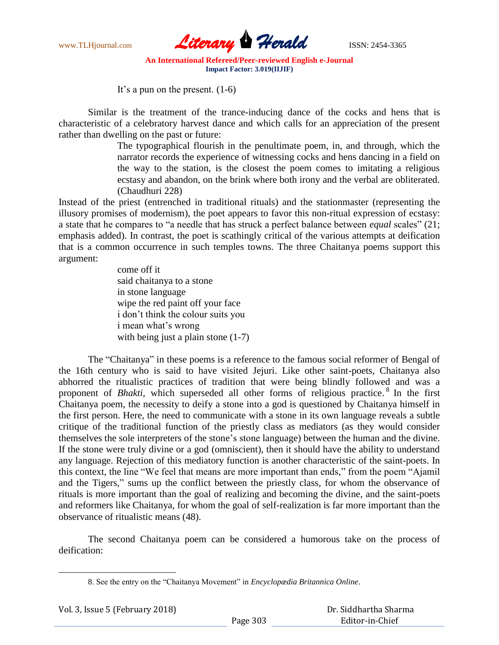

It's a pun on the present. (1-6)

Similar is the treatment of the trance-inducing dance of the cocks and hens that is characteristic of a celebratory harvest dance and which calls for an appreciation of the present rather than dwelling on the past or future:

> The typographical flourish in the penultimate poem, in, and through, which the narrator records the experience of witnessing cocks and hens dancing in a field on the way to the station, is the closest the poem comes to imitating a religious ecstasy and abandon, on the brink where both irony and the verbal are obliterated. (Chaudhuri 228)

Instead of the priest (entrenched in traditional rituals) and the stationmaster (representing the illusory promises of modernism), the poet appears to favor this non-ritual expression of ecstasy: a state that he compares to "a needle that has struck a perfect balance between *equal* scales" (21; emphasis added). In contrast, the poet is scathingly critical of the various attempts at deification that is a common occurrence in such temples towns. The three Chaitanya poems support this argument:

> come off it said chaitanya to a stone in stone language wipe the red paint off your face i don't think the colour suits you i mean what's wrong with being just a plain stone  $(1-7)$

The "Chaitanya" in these poems is a reference to the famous social reformer of Bengal of the 16th century who is said to have visited Jejuri. Like other saint-poets, Chaitanya also abhorred the ritualistic practices of tradition that were being blindly followed and was a proponent of *Bhakti*, which superseded all other forms of religious practice.<sup>8</sup> In the first Chaitanya poem, the necessity to deify a stone into a god is questioned by Chaitanya himself in the first person. Here, the need to communicate with a stone in its own language reveals a subtle critique of the traditional function of the priestly class as mediators (as they would consider themselves the sole interpreters of the stone's stone language) between the human and the divine. If the stone were truly divine or a god (omniscient), then it should have the ability to understand any language. Rejection of this mediatory function is another characteristic of the saint-poets. In this context, the line "We feel that means are more important than ends," from the poem "Ajamil" and the Tigers," sums up the conflict between the priestly class, for whom the observance of rituals is more important than the goal of realizing and becoming the divine, and the saint-poets and reformers like Chaitanya, for whom the goal of self-realization is far more important than the observance of ritualistic means (48).

The second Chaitanya poem can be considered a humorous take on the process of deification:

<sup>8.</sup> See the entry on the "Chaitanya Movement" in *Encyclopædia Britannica Online*.

| Vol. 3, Issue 5 (February 2018) |  |  |
|---------------------------------|--|--|
|---------------------------------|--|--|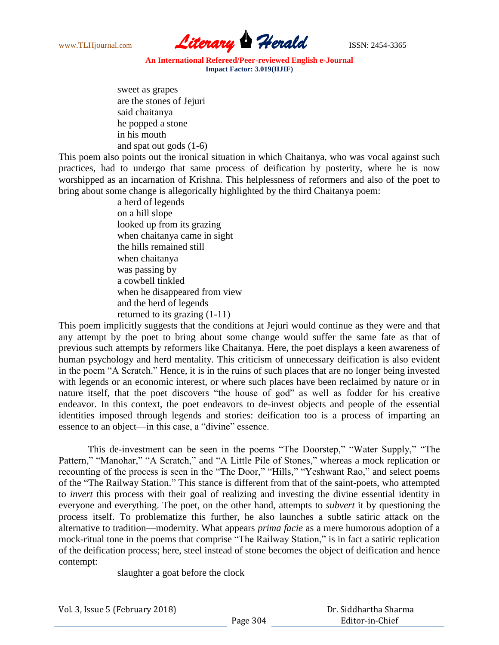

sweet as grapes are the stones of Jejuri said chaitanya he popped a stone in his mouth and spat out gods (1-6)

This poem also points out the ironical situation in which Chaitanya, who was vocal against such practices, had to undergo that same process of deification by posterity, where he is now worshipped as an incarnation of Krishna. This helplessness of reformers and also of the poet to bring about some change is allegorically highlighted by the third Chaitanya poem:

> a herd of legends on a hill slope looked up from its grazing when chaitanya came in sight the hills remained still when chaitanya was passing by a cowbell tinkled when he disappeared from view and the herd of legends returned to its grazing (1-11)

This poem implicitly suggests that the conditions at Jejuri would continue as they were and that any attempt by the poet to bring about some change would suffer the same fate as that of previous such attempts by reformers like Chaitanya. Here, the poet displays a keen awareness of human psychology and herd mentality. This criticism of unnecessary deification is also evident in the poem "A Scratch." Hence, it is in the ruins of such places that are no longer being invested with legends or an economic interest, or where such places have been reclaimed by nature or in nature itself, that the poet discovers "the house of god" as well as fodder for his creative endeavor. In this context, the poet endeavors to de-invest objects and people of the essential identities imposed through legends and stories: deification too is a process of imparting an essence to an object—in this case, a "divine" essence.

This de-investment can be seen in the poems "The Doorstep," "Water Supply," "The Pattern," "Manohar," "A Scratch," and "A Little Pile of Stones," whereas a mock replication or recounting of the process is seen in the "The Door," "Hills," "Yeshwant Rao," and select poems of the "The Railway Station." This stance is different from that of the saint-poets, who attempted to *invert* this process with their goal of realizing and investing the divine essential identity in everyone and everything. The poet, on the other hand, attempts to *subvert* it by questioning the process itself. To problematize this further, he also launches a subtle satiric attack on the alternative to tradition—modernity. What appears *prima facie* as a mere humorous adoption of a mock-ritual tone in the poems that comprise "The Railway Station," is in fact a satiric replication of the deification process; here, steel instead of stone becomes the object of deification and hence contempt:

slaughter a goat before the clock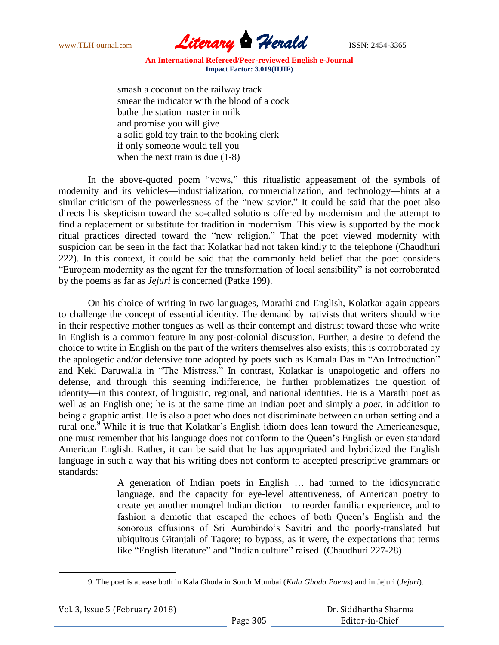

smash a coconut on the railway track smear the indicator with the blood of a cock bathe the station master in milk and promise you will give a solid gold toy train to the booking clerk if only someone would tell you when the next train is due (1-8)

In the above-quoted poem "vows," this ritualistic appeasement of the symbols of modernity and its vehicles—industrialization, commercialization, and technology—hints at a similar criticism of the powerlessness of the "new savior." It could be said that the poet also directs his skepticism toward the so-called solutions offered by modernism and the attempt to find a replacement or substitute for tradition in modernism. This view is supported by the mock ritual practices directed toward the "new religion." That the poet viewed modernity with suspicion can be seen in the fact that Kolatkar had not taken kindly to the telephone (Chaudhuri 222). In this context, it could be said that the commonly held belief that the poet considers "European modernity as the agent for the transformation of local sensibility" is not corroborated by the poems as far as *Jejuri* is concerned (Patke 199).

On his choice of writing in two languages, Marathi and English, Kolatkar again appears to challenge the concept of essential identity. The demand by nativists that writers should write in their respective mother tongues as well as their contempt and distrust toward those who write in English is a common feature in any post-colonial discussion. Further, a desire to defend the choice to write in English on the part of the writers themselves also exists; this is corroborated by the apologetic and/or defensive tone adopted by poets such as Kamala Das in "An Introduction" and Keki Daruwalla in "The Mistress." In contrast, Kolatkar is unapologetic and offers no defense, and through this seeming indifference, he further problematizes the question of identity—in this context, of linguistic, regional, and national identities. He is a Marathi poet as well as an English one; he is at the same time an Indian poet and simply a *poet*, in addition to being a graphic artist. He is also a poet who does not discriminate between an urban setting and a rural one.<sup>9</sup> While it is true that Kolatkar's English idiom does lean toward the Americanesque, one must remember that his language does not conform to the Queen's English or even standard American English. Rather, it can be said that he has appropriated and hybridized the English language in such a way that his writing does not conform to accepted prescriptive grammars or standards:

> A generation of Indian poets in English … had turned to the idiosyncratic language, and the capacity for eye-level attentiveness, of American poetry to create yet another mongrel Indian diction—to reorder familiar experience, and to fashion a demotic that escaped the echoes of both Queen's English and the sonorous effusions of Sri Aurobindo's Savitri and the poorly-translated but ubiquitous Gitanjali of Tagore; to bypass, as it were, the expectations that terms like "English literature" and "Indian culture" raised. (Chaudhuri 227-28)

<sup>9.</sup> The poet is at ease both in Kala Ghoda in South Mumbai (*Kala Ghoda Poems*) and in Jejuri (*Jejuri*).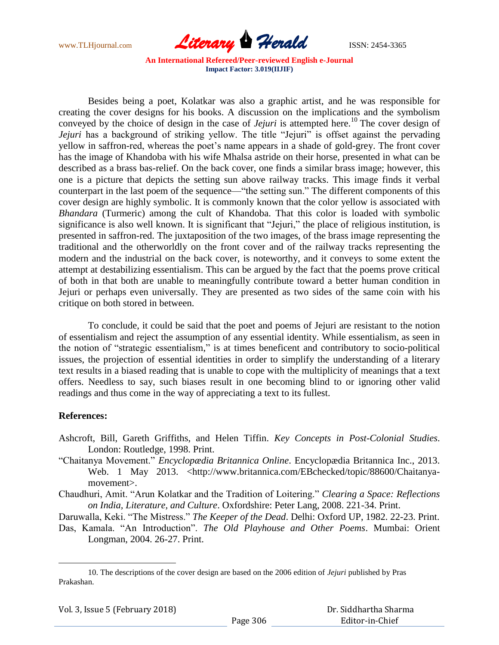

Besides being a poet, Kolatkar was also a graphic artist, and he was responsible for creating the cover designs for his books. A discussion on the implications and the symbolism conveyed by the choice of design in the case of *Jejuri* is attempted here. <sup>10</sup> The cover design of *Jejuri* has a background of striking yellow. The title "Jejuri" is offset against the pervading yellow in saffron-red, whereas the poet's name appears in a shade of gold-grey. The front cover has the image of Khandoba with his wife Mhalsa astride on their horse, presented in what can be described as a brass bas-relief. On the back cover, one finds a similar brass image; however, this one is a picture that depicts the setting sun above railway tracks. This image finds it verbal counterpart in the last poem of the sequence—"the setting sun." The different components of this cover design are highly symbolic. It is commonly known that the color yellow is associated with *Bhandara* (Turmeric) among the cult of Khandoba. That this color is loaded with symbolic significance is also well known. It is significant that "Jejuri," the place of religious institution, is presented in saffron-red. The juxtaposition of the two images, of the brass image representing the traditional and the otherworldly on the front cover and of the railway tracks representing the modern and the industrial on the back cover, is noteworthy, and it conveys to some extent the attempt at destabilizing essentialism. This can be argued by the fact that the poems prove critical of both in that both are unable to meaningfully contribute toward a better human condition in Jejuri or perhaps even universally. They are presented as two sides of the same coin with his critique on both stored in between.

To conclude, it could be said that the poet and poems of Jejuri are resistant to the notion of essentialism and reject the assumption of any essential identity. While essentialism, as seen in the notion of "strategic essentialism," is at times beneficent and contributory to socio-political issues, the projection of essential identities in order to simplify the understanding of a literary text results in a biased reading that is unable to cope with the multiplicity of meanings that a text offers. Needless to say, such biases result in one becoming blind to or ignoring other valid readings and thus come in the way of appreciating a text to its fullest.

## **References:**

 $\overline{\phantom{a}}$ 

- Ashcroft, Bill, Gareth Griffiths, and Helen Tiffin. *Key Concepts in Post-Colonial Studies*. London: Routledge, 1998. Print.
- ―Chaitanya Movement.‖ *Encyclopædia Britannica Online*. Encyclopædia Britannica Inc., 2013. Web. 1 May 2013. <http://www.britannica.com/EBchecked/topic/88600/Chaitanyamovement>.

Chaudhuri, Amit. "Arun Kolatkar and the Tradition of Loitering." *Clearing a Space: Reflections on India, Literature, and Culture*. Oxfordshire: Peter Lang, 2008. 221-34. Print.

Daruwalla, Keki. "The Mistress." *The Keeper of the Dead*. Delhi: Oxford UP, 1982. 22-23. Print.

Das, Kamala. "An Introduction". *The Old Playhouse and Other Poems*. Mumbai: Orient Longman, 2004. 26-27. Print.

<sup>10.</sup> The descriptions of the cover design are based on the 2006 edition of *Jejuri* published by Pras Prakashan.

| Vol. 3, Issue 5 (February 2018) |  |  |
|---------------------------------|--|--|
|---------------------------------|--|--|

 Dr. Siddhartha Sharma Editor-in-Chief